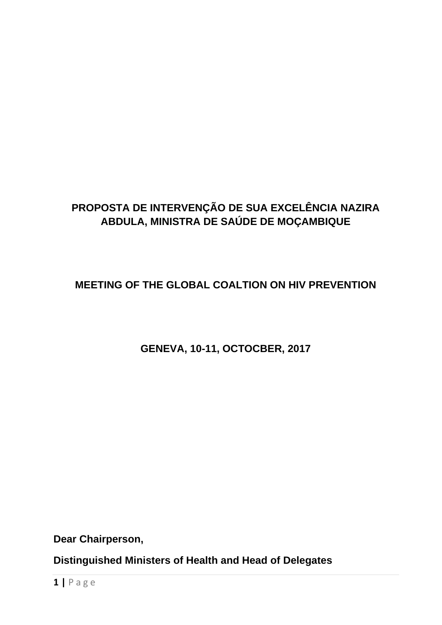## **PROPOSTA DE INTERVENÇÃO DE SUA EXCELÊNCIA NAZIRA ABDULA, MINISTRA DE SAÚDE DE MOÇAMBIQUE**

**MEETING OF THE GLOBAL COALTION ON HIV PREVENTION**

**GENEVA, 10-11, OCTOCBER, 2017**

**Dear Chairperson,**

**Distinguished Ministers of Health and Head of Delegates**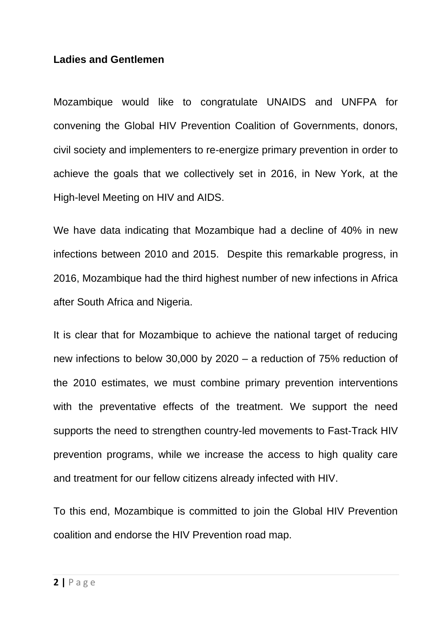## **Ladies and Gentlemen**

Mozambique would like to congratulate UNAIDS and UNFPA for convening the Global HIV Prevention Coalition of Governments, donors, civil society and implementers to re-energize primary prevention in order to achieve the goals that we collectively set in 2016, in New York, at the High-level Meeting on HIV and AIDS.

We have data indicating that Mozambique had a decline of 40% in new infections between 2010 and 2015. Despite this remarkable progress, in 2016, Mozambique had the third highest number of new infections in Africa after South Africa and Nigeria.

It is clear that for Mozambique to achieve the national target of reducing new infections to below 30,000 by 2020 – a reduction of 75% reduction of the 2010 estimates, we must combine primary prevention interventions with the preventative effects of the treatment. We support the need supports the need to strengthen country-led movements to Fast-Track HIV prevention programs, while we increase the access to high quality care and treatment for our fellow citizens already infected with HIV.

To this end, Mozambique is committed to join the Global HIV Prevention coalition and endorse the HIV Prevention road map.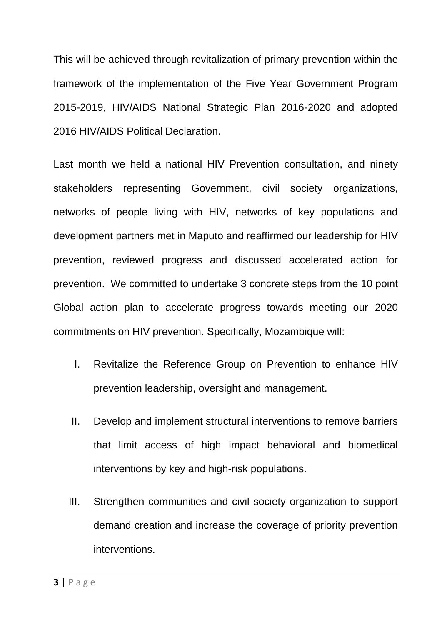This will be achieved through revitalization of primary prevention within the framework of the implementation of the Five Year Government Program 2015-2019, HIV/AIDS National Strategic Plan 2016-2020 and adopted 2016 HIV/AIDS Political Declaration.

Last month we held a national HIV Prevention consultation, and ninety stakeholders representing Government, civil society organizations, networks of people living with HIV, networks of key populations and development partners met in Maputo and reaffirmed our leadership for HIV prevention, reviewed progress and discussed accelerated action for prevention. We committed to undertake 3 concrete steps from the 10 point Global action plan to accelerate progress towards meeting our 2020 commitments on HIV prevention. Specifically, Mozambique will:

- I. Revitalize the Reference Group on Prevention to enhance HIV prevention leadership, oversight and management.
- II. Develop and implement structural interventions to remove barriers that limit access of high impact behavioral and biomedical interventions by key and high-risk populations.
- III. Strengthen communities and civil society organization to support demand creation and increase the coverage of priority prevention interventions.